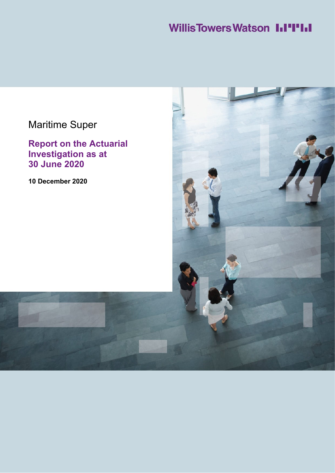# **Willis Towers Watson I.I'I'I.I**

# Maritime Super

**Report on the Actuarial Investigation as at 30 June 2020**

**10 December 2020**

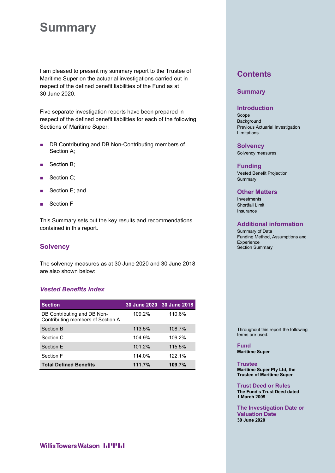# **Summary**

I am pleased to present my summary report to the Trustee of Maritime Super on the actuarial investigations carried out in respect of the defined benefit liabilities of the Fund as at 30 June 2020.

Five separate investigation reports have been prepared in respect of the defined benefit liabilities for each of the following Sections of Maritime Super:

- DB Contributing and DB Non-Contributing members of Section A;
- Section B:
- Section C;
- Section E; and
- Section F

This Summary sets out the key results and recommendations contained in this report.

## **Solvency**

The solvency measures as at 30 June 2020 and 30 June 2018 are also shown below:

## *Vested Benefits Index*

| <b>Section</b>                                                   |        | 30 June 2020 30 June 2018 |
|------------------------------------------------------------------|--------|---------------------------|
| DB Contributing and DB Non-<br>Contributing members of Section A | 109.2% | 110.6%                    |
| Section B                                                        | 113.5% | 108.7%                    |
| Section C                                                        | 104.9% | 109.2%                    |
| Section F                                                        | 101.2% | 115.5%                    |
| Section F                                                        | 114.0% | 122.1%                    |
| <b>Total Defined Benefits</b>                                    | 111.7% | 109.7%                    |

# **Contents**

## **Summary**

### **Introduction**

Scope Background Previous Actuarial Investigation Limitations

#### **Solvency**

Solvency measures

#### **Funding**

Vested Benefit Projection Summary

### **Other Matters**

Investments Shortfall Limit Insurance

## **Additional information**

Summary of Data Funding Method, Assumptions and **Experience** Section Summary

Throughout this report the following terms are used:

**Fund Maritime Super**

**Trustee Maritime Super Pty Ltd, the Trustee of Maritime Super**

**Trust Deed or Rules The Fund's Trust Deed dated 1 March 2009**

**The Investigation Date or Valuation Date 30 June 2020**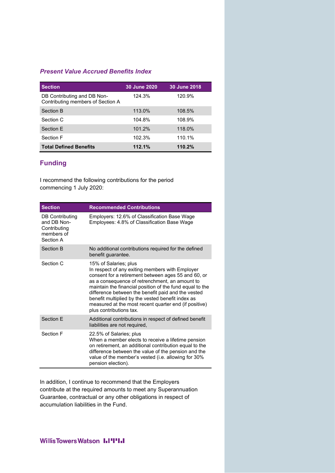## *Present Value Accrued Benefits Index*

| <b>Section</b>                                                   | 30 June 2020 | 30 June 2018 |
|------------------------------------------------------------------|--------------|--------------|
| DB Contributing and DB Non-<br>Contributing members of Section A | 124.3%       | 120.9%       |
| Section B                                                        | 113.0%       | 108.5%       |
| Section C                                                        | 104.8%       | 108.9%       |
| Section F                                                        | 101.2%       | 118.0%       |
| Section F                                                        | 102.3%       | 110.1%       |
| <b>Total Defined Benefits</b>                                    | 112.1%       | 110.2%       |

## **Funding**

I recommend the following contributions for the period commencing 1 July 2020:

| <b>Section</b>                                                            | <b>Recommended Contributions</b>                                                                                                                                                                                                                                                                                                                                                                                                             |
|---------------------------------------------------------------------------|----------------------------------------------------------------------------------------------------------------------------------------------------------------------------------------------------------------------------------------------------------------------------------------------------------------------------------------------------------------------------------------------------------------------------------------------|
| DB Contributing<br>and DB Non-<br>Contributing<br>members of<br>Section A | Employers: 12.6% of Classification Base Wage<br>Employees: 4.8% of Classification Base Wage                                                                                                                                                                                                                                                                                                                                                  |
| Section B                                                                 | No additional contributions required for the defined<br>benefit quarantee.                                                                                                                                                                                                                                                                                                                                                                   |
| Section C                                                                 | 15% of Salaries; plus<br>In respect of any exiting members with Employer<br>consent for a retirement between ages 55 and 60, or<br>as a consequence of retrenchment, an amount to<br>maintain the financial position of the fund equal to the<br>difference between the benefit paid and the vested<br>benefit multiplied by the vested benefit index as<br>measured at the most recent quarter end (if positive)<br>plus contributions tax. |
| Section F                                                                 | Additional contributions in respect of defined benefit<br>liabilities are not required,                                                                                                                                                                                                                                                                                                                                                      |
| Section F                                                                 | 22.5% of Salaries; plus<br>When a member elects to receive a lifetime pension<br>on retirement, an additional contribution equal to the<br>difference between the value of the pension and the<br>value of the member's vested (i.e. allowing for 30%<br>pension election).                                                                                                                                                                  |

In addition, I continue to recommend that the Employers contribute at the required amounts to meet any Superannuation Guarantee, contractual or any other obligations in respect of accumulation liabilities in the Fund.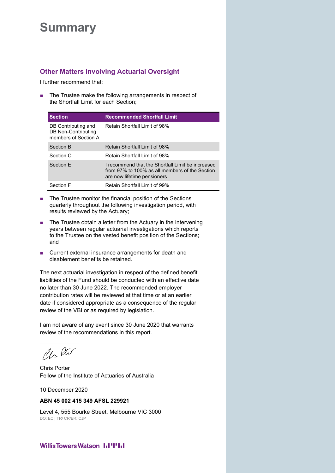# **Summary**

# **Other Matters involving Actuarial Oversight**

I further recommend that:

■ The Trustee make the following arrangements in respect of the Shortfall Limit for each Section;

| <b>Section</b>                                                     | <b>Recommended Shortfall Limit</b>                                                                                                  |
|--------------------------------------------------------------------|-------------------------------------------------------------------------------------------------------------------------------------|
| DB Contributing and<br>DB Non-Contributing<br>members of Section A | Retain Shortfall Limit of 98%                                                                                                       |
| Section B                                                          | Retain Shortfall Limit of 98%                                                                                                       |
| Section C                                                          | Retain Shortfall Limit of 98%                                                                                                       |
| Section F                                                          | I recommend that the Shortfall I imit be increased<br>from 97% to 100% as all members of the Section<br>are now lifetime pensioners |
| Section F                                                          | <b>Retain Shortfall Limit of 99%</b>                                                                                                |

- The Trustee monitor the financial position of the Sections quarterly throughout the following investigation period, with results reviewed by the Actuary;
- The Trustee obtain a letter from the Actuary in the intervening years between regular actuarial investigations which reports to the Trustee on the vested benefit position of the Sections; and
- Current external insurance arrangements for death and disablement benefits be retained.

The next actuarial investigation in respect of the defined benefit liabilities of the Fund should be conducted with an effective date no later than 30 June 2022. The recommended employer contribution rates will be reviewed at that time or at an earlier date if considered appropriate as a consequence of the regular review of the VBI or as required by legislation.

I am not aware of any event since 30 June 2020 that warrants review of the recommendations in this report.

Us Ptu

Fellow of the Institute of Actuaries of Australia Chris Porter

10 December 2020

### **ABN 45 002 415 349 AFSL 229921**

DO: EC | TR/ CR/ER: CJP Level 4, 555 Bourke Street, Melbourne VIC 3000

## **Willis Towers Watson I.I'I'I.I**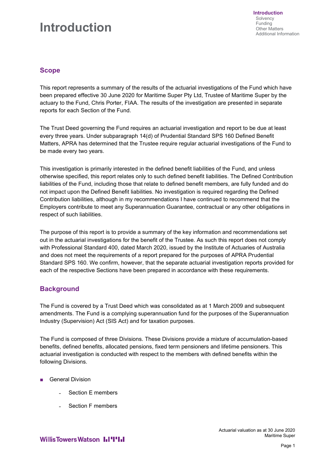# **Introduction**

## **Scope**

This report represents a summary of the results of the actuarial investigations of the Fund which have been prepared effective 30 June 2020 for Maritime Super Pty Ltd, Trustee of Maritime Super by the actuary to the Fund, Chris Porter, FIAA. The results of the investigation are presented in separate reports for each Section of the Fund.

The Trust Deed governing the Fund requires an actuarial investigation and report to be due at least every three years. Under subparagraph 14(d) of Prudential Standard SPS 160 Defined Benefit Matters, APRA has determined that the Trustee require regular actuarial investigations of the Fund to be made every two years.

This investigation is primarily interested in the defined benefit liabilities of the Fund, and unless otherwise specified, this report relates only to such defined benefit liabilities. The Defined Contribution liabilities of the Fund, including those that relate to defined benefit members, are fully funded and do not impact upon the Defined Benefit liabilities. No investigation is required regarding the Defined Contribution liabilities, although in my recommendations I have continued to recommend that the Employers contribute to meet any Superannuation Guarantee, contractual or any other obligations in respect of such liabilities.

The purpose of this report is to provide a summary of the key information and recommendations set out in the actuarial investigations for the benefit of the Trustee. As such this report does not comply with Professional Standard 400, dated March 2020, issued by the Institute of Actuaries of Australia and does not meet the requirements of a report prepared for the purposes of APRA Prudential Standard SPS 160. We confirm, however, that the separate actuarial investigation reports provided for each of the respective Sections have been prepared in accordance with these requirements.

## **Background**

The Fund is covered by a Trust Deed which was consolidated as at 1 March 2009 and subsequent amendments. The Fund is a complying superannuation fund for the purposes of the Superannuation Industry (Supervision) Act (SIS Act) and for taxation purposes.

The Fund is composed of three Divisions. These Divisions provide a mixture of accumulation-based benefits, defined benefits, allocated pensions, fixed term pensioners and lifetime pensioners. This actuarial investigation is conducted with respect to the members with defined benefits within the following Divisions.

- **General Division** 
	- Section E members
	- Section F members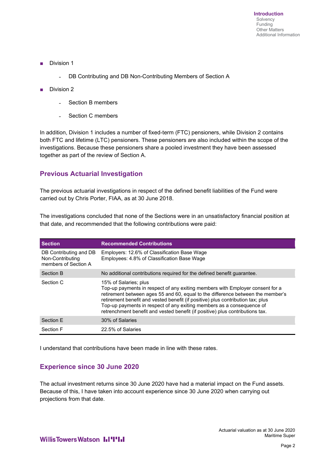- Division 1
	- DB Contributing and DB Non-Contributing Members of Section A
- Division 2
	- Section B members
	- Section C members

In addition, Division 1 includes a number of fixed-term (FTC) pensioners, while Division 2 contains both FTC and lifetime (LTC) pensioners. These pensioners are also included within the scope of the investigations. Because these pensioners share a pooled investment they have been assessed together as part of the review of Section A.

# **Previous Actuarial Investigation**

The previous actuarial investigations in respect of the defined benefit liabilities of the Fund were carried out by Chris Porter, FIAA, as at 30 June 2018.

The investigations concluded that none of the Sections were in an unsatisfactory financial position at that date, and recommended that the following contributions were paid:

| <b>Section</b>                                                     | <b>Recommended Contributions</b>                                                                                                                                                                                                                                                                                                                                                                                                       |
|--------------------------------------------------------------------|----------------------------------------------------------------------------------------------------------------------------------------------------------------------------------------------------------------------------------------------------------------------------------------------------------------------------------------------------------------------------------------------------------------------------------------|
| DB Contributing and DB<br>Non-Contributing<br>members of Section A | Employers: 12.6% of Classification Base Wage<br>Employees: 4.8% of Classification Base Wage                                                                                                                                                                                                                                                                                                                                            |
| Section B                                                          | No additional contributions required for the defined benefit guarantee.                                                                                                                                                                                                                                                                                                                                                                |
| Section C                                                          | 15% of Salaries; plus<br>Top-up payments in respect of any exiting members with Employer consent for a<br>retirement between ages 55 and 60, equal to the difference between the member's<br>retirement benefit and vested benefit (if positive) plus contribution tax; plus<br>Top-up payments in respect of any exiting members as a consequence of<br>retrenchment benefit and vested benefit (if positive) plus contributions tax. |
| Section E                                                          | 30% of Salaries                                                                                                                                                                                                                                                                                                                                                                                                                        |
| Section F                                                          | 22.5% of Salaries                                                                                                                                                                                                                                                                                                                                                                                                                      |

I understand that contributions have been made in line with these rates.

## **Experience since 30 June 2020**

The actual investment returns since 30 June 2020 have had a material impact on the Fund assets. Because of this, I have taken into account experience since 30 June 2020 when carrying out projections from that date.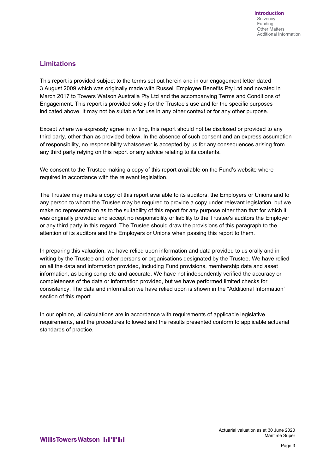# **Limitations**

This report is provided subject to the terms set out herein and in our engagement letter dated 3 August 2009 which was originally made with Russell Employee Benefits Pty Ltd and novated in March 2017 to Towers Watson Australia Pty Ltd and the accompanying Terms and Conditions of Engagement. This report is provided solely for the Trustee's use and for the specific purposes indicated above. It may not be suitable for use in any other context or for any other purpose.

Except where we expressly agree in writing, this report should not be disclosed or provided to any third party, other than as provided below. In the absence of such consent and an express assumption of responsibility, no responsibility whatsoever is accepted by us for any consequences arising from any third party relying on this report or any advice relating to its contents.

We consent to the Trustee making a copy of this report available on the Fund's website where required in accordance with the relevant legislation.

The Trustee may make a copy of this report available to its auditors, the Employers or Unions and to any person to whom the Trustee may be required to provide a copy under relevant legislation, but we make no representation as to the suitability of this report for any purpose other than that for which it was originally provided and accept no responsibility or liability to the Trustee's auditors the Employer or any third party in this regard. The Trustee should draw the provisions of this paragraph to the attention of its auditors and the Employers or Unions when passing this report to them.

In preparing this valuation, we have relied upon information and data provided to us orally and in writing by the Trustee and other persons or organisations designated by the Trustee. We have relied on all the data and information provided, including Fund provisions, membership data and asset information, as being complete and accurate. We have not independently verified the accuracy or completeness of the data or information provided, but we have performed limited checks for consistency. The data and information we have relied upon is shown in the "Additional Information" section of this report.

In our opinion, all calculations are in accordance with requirements of applicable legislative requirements, and the procedures followed and the results presented conform to applicable actuarial standards of practice.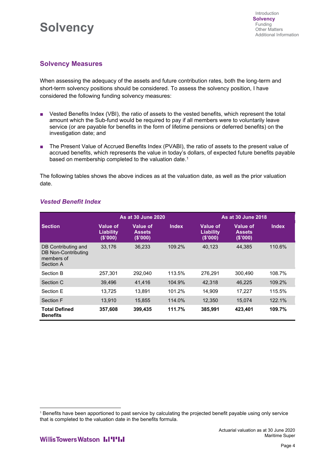# **Solvency**

# **Solvency Measures**

When assessing the adequacy of the assets and future contribution rates, both the long-term and short-term solvency positions should be considered. To assess the solvency position, I have considered the following funding solvency measures:

- Vested Benefits Index (VBI), the ratio of assets to the vested benefits, which represent the total amount which the Sub-fund would be required to pay if all members were to voluntarily leave service (or are payable for benefits in the form of lifetime pensions or deferred benefits) on the investigation date; and
- The Present Value of Accrued Benefits Index (PVABI), the ratio of assets to the present value of accrued benefits, which represents the value in today's dollars, of expected future benefits payable based on membership completed to the valuation date.<sup>1</sup>

The following tables shows the above indices as at the valuation date, as well as the prior valuation date.

|                                                                       | As at 30 June 2020                             |                                              |              |                                                | <b>As at 30 June 2018</b>                    |              |  |  |
|-----------------------------------------------------------------------|------------------------------------------------|----------------------------------------------|--------------|------------------------------------------------|----------------------------------------------|--------------|--|--|
| <b>Section</b>                                                        | <b>Value of</b><br><b>Liability</b><br>(S'000) | <b>Value of</b><br><b>Assets</b><br>(\$'000) | <b>Index</b> | <b>Value of</b><br><b>Liability</b><br>(S'000) | <b>Value of</b><br><b>Assets</b><br>(\$'000) | <b>Index</b> |  |  |
| DB Contributing and<br>DB Non-Contributing<br>members of<br>Section A | 33.176                                         | 36.233                                       | 109.2%       | 40.123                                         | 44.385                                       | 110.6%       |  |  |
| Section B                                                             | 257.301                                        | 292,040                                      | 113.5%       | 276,291                                        | 300,490                                      | 108.7%       |  |  |
| Section C                                                             | 39,496                                         | 41,416                                       | 104.9%       | 42,318                                         | 46,225                                       | 109.2%       |  |  |
| Section E                                                             | 13.725                                         | 13.891                                       | 101.2%       | 14.909                                         | 17.227                                       | 115.5%       |  |  |
| Section F                                                             | 13.910                                         | 15.855                                       | 114.0%       | 12.350                                         | 15.074                                       | 122.1%       |  |  |
| <b>Total Defined</b><br><b>Benefits</b>                               | 357,608                                        | 399,435                                      | 111.7%       | 385,991                                        | 423,401                                      | 109.7%       |  |  |

## *Vested Benefit Index*

<sup>1</sup> Benefits have been apportioned to past service by calculating the projected benefit payable using only service that is completed to the valuation date in the benefits formula.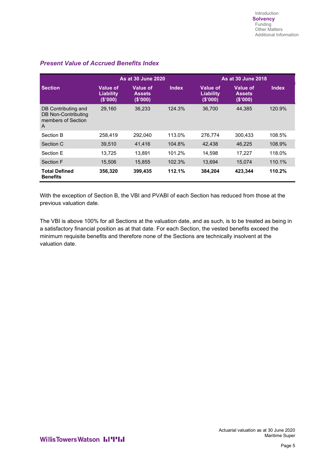|                                                                       | <b>As at 30 June 2020</b>                      |                                              |              |                                         | As at 30 June 2018                    |              |  |  |
|-----------------------------------------------------------------------|------------------------------------------------|----------------------------------------------|--------------|-----------------------------------------|---------------------------------------|--------------|--|--|
| <b>Section</b>                                                        | <b>Value of</b><br><b>Liability</b><br>(S'000) | <b>Value of</b><br><b>Assets</b><br>(\$'000) | <b>Index</b> | Value of<br><b>Liability</b><br>(S'000) | Value of<br><b>Assets</b><br>(\$'000) | <b>Index</b> |  |  |
| DB Contributing and<br>DB Non-Contributing<br>members of Section<br>A | 29.160                                         | 36,233                                       | 124.3%       | 36.700                                  | 44.385                                | 120.9%       |  |  |
| Section B                                                             | 258.419                                        | 292.040                                      | 113.0%       | 276.774                                 | 300.433                               | 108.5%       |  |  |
| Section C                                                             | 39,510                                         | 41,416                                       | 104.8%       | 42,438                                  | 46,225                                | 108.9%       |  |  |
| Section F                                                             | 13,725                                         | 13.891                                       | 101.2%       | 14,598                                  | 17.227                                | 118.0%       |  |  |
| <b>Section F</b>                                                      | 15,506                                         | 15,855                                       | 102.3%       | 13,694                                  | 15.074                                | 110.1%       |  |  |
| <b>Total Defined</b><br><b>Benefits</b>                               | 356,320                                        | 399,435                                      | 112.1%       | 384,204                                 | 423,344                               | 110.2%       |  |  |

# *Present Value of Accrued Benefits Index*

With the exception of Section B, the VBI and PVABI of each Section has reduced from those at the previous valuation date.

The VBI is above 100% for all Sections at the valuation date, and as such, is to be treated as being in a satisfactory financial position as at that date. For each Section, the vested benefits exceed the minimum requisite benefits and therefore none of the Sections are technically insolvent at the valuation date.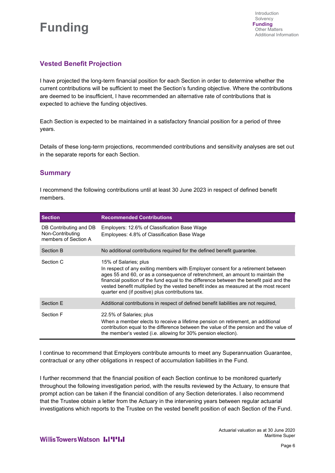

# **Vested Benefit Projection**

I have projected the long-term financial position for each Section in order to determine whether the current contributions will be sufficient to meet the Section's funding objective. Where the contributions are deemed to be insufficient, I have recommended an alternative rate of contributions that is expected to achieve the funding objectives.

Each Section is expected to be maintained in a satisfactory financial position for a period of three years.

Details of these long-term projections, recommended contributions and sensitivity analyses are set out in the separate reports for each Section.

## **Summary**

I recommend the following contributions until at least 30 June 2023 in respect of defined benefit members.

| <b>Section</b>                                                     | <b>Recommended Contributions</b>                                                                                                                                                                                                                                                                                                                                                                                                    |
|--------------------------------------------------------------------|-------------------------------------------------------------------------------------------------------------------------------------------------------------------------------------------------------------------------------------------------------------------------------------------------------------------------------------------------------------------------------------------------------------------------------------|
| DB Contributing and DB<br>Non-Contributing<br>members of Section A | Employers: 12.6% of Classification Base Wage<br>Employees: 4.8% of Classification Base Wage                                                                                                                                                                                                                                                                                                                                         |
| Section B                                                          | No additional contributions required for the defined benefit guarantee.                                                                                                                                                                                                                                                                                                                                                             |
| Section C                                                          | 15% of Salaries; plus<br>In respect of any exiting members with Employer consent for a retirement between<br>ages 55 and 60, or as a consequence of retrenchment, an amount to maintain the<br>financial position of the fund equal to the difference between the benefit paid and the<br>vested benefit multiplied by the vested benefit index as measured at the most recent<br>quarter end (if positive) plus contributions tax. |
| Section E                                                          | Additional contributions in respect of defined benefit liabilities are not required,                                                                                                                                                                                                                                                                                                                                                |
| Section F                                                          | 22.5% of Salaries; plus<br>When a member elects to receive a lifetime pension on retirement, an additional<br>contribution equal to the difference between the value of the pension and the value of<br>the member's vested (i.e. allowing for 30% pension election).                                                                                                                                                               |

I continue to recommend that Employers contribute amounts to meet any Superannuation Guarantee, contractual or any other obligations in respect of accumulation liabilities in the Fund.

I further recommend that the financial position of each Section continue to be monitored quarterly throughout the following investigation period, with the results reviewed by the Actuary, to ensure that prompt action can be taken if the financial condition of any Section deteriorates. I also recommend that the Trustee obtain a letter from the Actuary in the intervening years between regular actuarial investigations which reports to the Trustee on the vested benefit position of each Section of the Fund.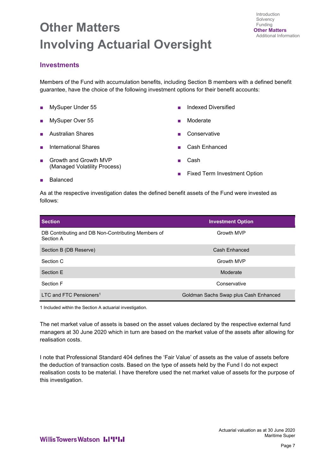# **Other Matters Involving Actuarial Oversight**

# **Investments**

Members of the Fund with accumulation benefits, including Section B members with a defined benefit guarantee, have the choice of the following investment options for their benefit accounts:

- MySuper Under 55
- MySuper Over 55
- Australian Shares
- International Shares
- Growth and Growth MVP (Managed Volatility Process)
- Indexed Diversified
- **Moderate**
- **Conservative**
- Cash Enhanced
- Cash
- Fixed Term Investment Option

■ Balanced

As at the respective investigation dates the defined benefit assets of the Fund were invested as follows:

| <b>Section</b>                                                  | <b>Investment Option</b>              |
|-----------------------------------------------------------------|---------------------------------------|
| DB Contributing and DB Non-Contributing Members of<br>Section A | Growth MVP                            |
| Section B (DB Reserve)                                          | Cash Enhanced                         |
| Section C                                                       | Growth MVP                            |
| Section F                                                       | Moderate                              |
| Section F                                                       | Conservative                          |
| LTC and FTC Pensioners <sup>1</sup>                             | Goldman Sachs Swap plus Cash Enhanced |

1 Included within the Section A actuarial investigation.

The net market value of assets is based on the asset values declared by the respective external fund managers at 30 June 2020 which in turn are based on the market value of the assets after allowing for realisation costs.

I note that Professional Standard 404 defines the 'Fair Value' of assets as the value of assets before the deduction of transaction costs. Based on the type of assets held by the Fund I do not expect realisation costs to be material. I have therefore used the net market value of assets for the purpose of this investigation.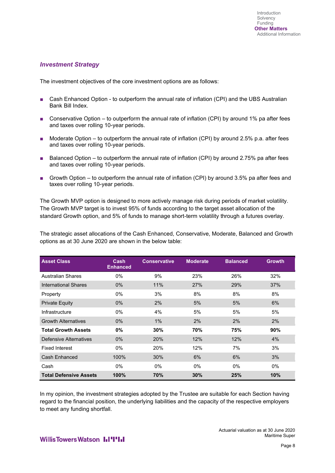## *Investment Strategy*

The investment objectives of the core investment options are as follows:

- Cash Enhanced Option to outperform the annual rate of inflation (CPI) and the UBS Australian Bank Bill Index.
- Conservative Option to outperform the annual rate of inflation (CPI) by around 1% pa after fees and taxes over rolling 10-year periods.
- Moderate Option to outperform the annual rate of inflation (CPI) by around 2.5% p.a. after fees and taxes over rolling 10-year periods.
- Balanced Option to outperform the annual rate of inflation (CPI) by around 2.75% pa after fees and taxes over rolling 10-year periods.
- Growth Option to outperform the annual rate of inflation (CPI) by around 3.5% pa after fees and taxes over rolling 10-year periods.

The Growth MVP option is designed to more actively manage risk during periods of market volatility. The Growth MVP target is to invest 95% of funds according to the target asset allocation of the standard Growth option, and 5% of funds to manage short-term volatility through a futures overlay.

The strategic asset allocations of the Cash Enhanced, Conservative, Moderate, Balanced and Growth options as at 30 June 2020 are shown in the below table:

| <b>Asset Class</b>            | Cash<br><b>Enhanced</b> | <b>Conservative</b> | <b>Moderate</b> | <b>Balanced</b> | <b>Growth</b> |
|-------------------------------|-------------------------|---------------------|-----------------|-----------------|---------------|
| <b>Australian Shares</b>      | $0\%$                   | 9%                  | 23%             | 26%             | 32%           |
| International Shares          | $0\%$                   | 11%                 | 27%             | 29%             | 37%           |
| Property                      | $0\%$                   | 3%                  | 8%              | 8%              | 8%            |
| <b>Private Equity</b>         | $0\%$                   | 2%                  | 5%              | 5%              | 6%            |
| Infrastructure                | $0\%$                   | 4%                  | 5%              | 5%              | 5%            |
| <b>Growth Alternatives</b>    | $0\%$                   | 1%                  | 2%              | 2%              | 2%            |
| <b>Total Growth Assets</b>    | $0\%$                   | 30%                 | 70%             | 75%             | 90%           |
| Defensive Alternatives        | $0\%$                   | 20%                 | 12%             | 12%             | 4%            |
| <b>Fixed Interest</b>         | $0\%$                   | 20%                 | 12%             | 7%              | 3%            |
| Cash Enhanced                 | 100%                    | 30%                 | 6%              | 6%              | 3%            |
| Cash                          | $0\%$                   | $0\%$               | $0\%$           | 0%              | $0\%$         |
| <b>Total Defensive Assets</b> | 100%                    | 70%                 | 30%             | 25%             | 10%           |

In my opinion, the investment strategies adopted by the Trustee are suitable for each Section having regard to the financial position, the underlying liabilities and the capacity of the respective employers to meet any funding shortfall.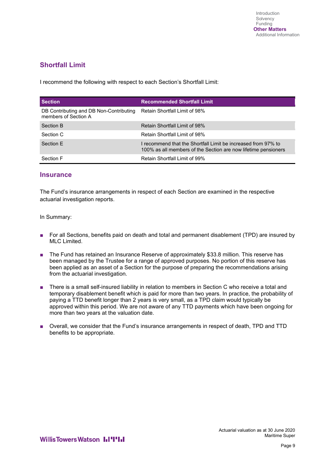# **Shortfall Limit**

I recommend the following with respect to each Section's Shortfall Limit:

| <b>Section</b>                                                  | <b>Recommended Shortfall Limit</b>                                                                                              |
|-----------------------------------------------------------------|---------------------------------------------------------------------------------------------------------------------------------|
| DB Contributing and DB Non-Contributing<br>members of Section A | Retain Shortfall Limit of 98%                                                                                                   |
| Section B                                                       | Retain Shortfall Limit of 98%                                                                                                   |
| Section C                                                       | Retain Shortfall Limit of 98%                                                                                                   |
| Section F                                                       | I recommend that the Shortfall Limit be increased from 97% to<br>100% as all members of the Section are now lifetime pensioners |
| Section F                                                       | Retain Shortfall Limit of 99%                                                                                                   |

## **Insurance**

The Fund's insurance arrangements in respect of each Section are examined in the respective actuarial investigation reports.

In Summary:

- For all Sections, benefits paid on death and total and permanent disablement (TPD) are insured by MLC Limited.
- The Fund has retained an Insurance Reserve of approximately \$33.8 million. This reserve has been managed by the Trustee for a range of approved purposes. No portion of this reserve has been applied as an asset of a Section for the purpose of preparing the recommendations arising from the actuarial investigation.
- There is a small self-insured liability in relation to members in Section C who receive a total and temporary disablement benefit which is paid for more than two years. In practice, the probability of paying a TTD benefit longer than 2 years is very small, as a TPD claim would typically be approved within this period. We are not aware of any TTD payments which have been ongoing for more than two years at the valuation date.
- Overall, we consider that the Fund's insurance arrangements in respect of death, TPD and TTD benefits to be appropriate.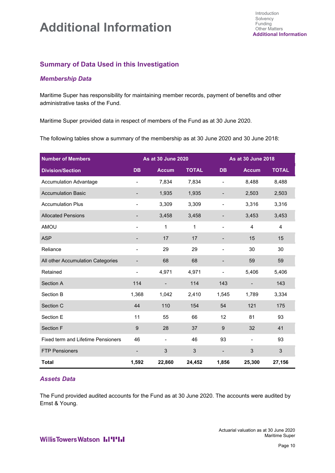# **Additional Information**

# **Summary of Data Used in this Investigation**

## *Membership Data*

Maritime Super has responsibility for maintaining member records, payment of benefits and other administrative tasks of the Fund.

Maritime Super provided data in respect of members of the Fund as at 30 June 2020.

The following tables show a summary of the membership as at 30 June 2020 and 30 June 2018:

| <b>Number of Members</b>                  | <b>As at 30 June 2020</b> |                          |              | As at 30 June 2018           |                          |                |
|-------------------------------------------|---------------------------|--------------------------|--------------|------------------------------|--------------------------|----------------|
| <b>Division/Section</b>                   | <b>DB</b>                 | <b>Accum</b>             | <b>TOTAL</b> | <b>DB</b>                    | <b>Accum</b>             | <b>TOTAL</b>   |
| <b>Accumulation Advantage</b>             |                           | 7,834                    | 7,834        |                              | 8,488                    | 8,488          |
| <b>Accumulation Basic</b>                 |                           | 1,935                    | 1,935        |                              | 2,503                    | 2,503          |
| <b>Accumulation Plus</b>                  |                           | 3,309                    | 3,309        | $\overline{\phantom{0}}$     | 3,316                    | 3,316          |
| <b>Allocated Pensions</b>                 |                           | 3,458                    | 3,458        | $\qquad \qquad \blacksquare$ | 3,453                    | 3,453          |
| AMOU                                      | $\overline{\phantom{a}}$  | 1                        | 1            | $\blacksquare$               | 4                        | 4              |
| <b>ASP</b>                                |                           | 17                       | 17           |                              | 15                       | 15             |
| Reliance                                  |                           | 29                       | 29           | $\overline{\phantom{0}}$     | 30                       | 30             |
| All other Accumulation Categories         |                           | 68                       | 68           |                              | 59                       | 59             |
| Retained                                  | $\overline{\phantom{0}}$  | 4,971                    | 4,971        | $\qquad \qquad \blacksquare$ | 5,406                    | 5,406          |
| Section A                                 | 114                       | $\overline{\phantom{a}}$ | 114          | 143                          | $\overline{\phantom{a}}$ | 143            |
| Section B                                 | 1,368                     | 1,042                    | 2,410        | 1,545                        | 1,789                    | 3,334          |
| Section C                                 | 44                        | 110                      | 154          | 54                           | 121                      | 175            |
| Section E                                 | 11                        | 55                       | 66           | 12                           | 81                       | 93             |
| Section F                                 | 9                         | 28                       | 37           | 9                            | 32                       | 41             |
| <b>Fixed term and Lifetime Pensioners</b> | 46                        | $\overline{\phantom{a}}$ | 46           | 93                           | $\blacksquare$           | 93             |
| <b>FTP Pensioners</b>                     | $\blacksquare$            | 3                        | 3            |                              | 3                        | $\mathfrak{S}$ |
| <b>Total</b>                              | 1,592                     | 22,860                   | 24,452       | 1,856                        | 25,300                   | 27,156         |

## *Assets Data*

The Fund provided audited accounts for the Fund as at 30 June 2020. The accounts were audited by Ernst & Young.

**WillisTowersWatson I.I'I'I.I**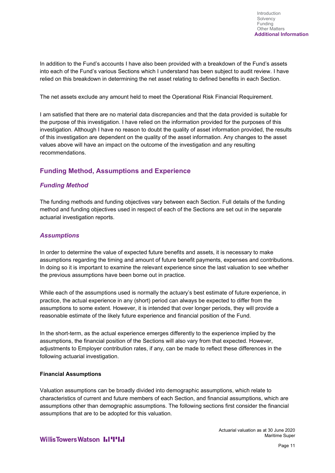In addition to the Fund's accounts I have also been provided with a breakdown of the Fund's assets into each of the Fund's various Sections which I understand has been subject to audit review. I have relied on this breakdown in determining the net asset relating to defined benefits in each Section.

The net assets exclude any amount held to meet the Operational Risk Financial Requirement.

I am satisfied that there are no material data discrepancies and that the data provided is suitable for the purpose of this investigation. I have relied on the information provided for the purposes of this investigation. Although I have no reason to doubt the quality of asset information provided, the results of this investigation are dependent on the quality of the asset information. Any changes to the asset values above will have an impact on the outcome of the investigation and any resulting recommendations.

# **Funding Method, Assumptions and Experience**

## *Funding Method*

The funding methods and funding objectives vary between each Section. Full details of the funding method and funding objectives used in respect of each of the Sections are set out in the separate actuarial investigation reports.

## *Assumptions*

In order to determine the value of expected future benefits and assets, it is necessary to make assumptions regarding the timing and amount of future benefit payments, expenses and contributions. In doing so it is important to examine the relevant experience since the last valuation to see whether the previous assumptions have been borne out in practice.

While each of the assumptions used is normally the actuary's best estimate of future experience, in practice, the actual experience in any (short) period can always be expected to differ from the assumptions to some extent. However, it is intended that over longer periods, they will provide a reasonable estimate of the likely future experience and financial position of the Fund.

In the short-term, as the actual experience emerges differently to the experience implied by the assumptions, the financial position of the Sections will also vary from that expected. However, adjustments to Employer contribution rates, if any, can be made to reflect these differences in the following actuarial investigation.

### **Financial Assumptions**

Valuation assumptions can be broadly divided into demographic assumptions, which relate to characteristics of current and future members of each Section, and financial assumptions, which are assumptions other than demographic assumptions. The following sections first consider the financial assumptions that are to be adopted for this valuation.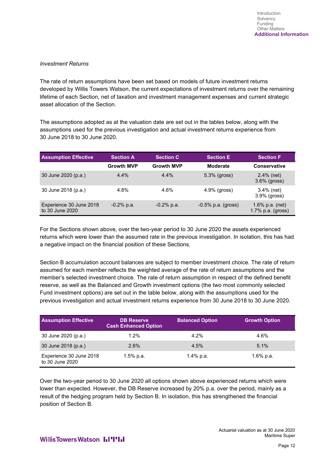### *Investment Returns*

The rate of return assumptions have been set based on models of future investment returns developed by Willis Towers Watson, the current expectations of investment returns over the remaining lifetime of each Section, net of taxation and investment management expenses and current strategic asset allocation of the Section.

The assumptions adopted as at the valuation date are set out in the tables below, along with the assumptions used for the previous investigation and actual investment returns experience from 30 June 2018 to 30 June 2020.

| <b>Assumption Effective</b>                | <b>Section A</b>  | <b>Section C</b>  | <b>Section E</b>      | <b>Section F</b>                       |
|--------------------------------------------|-------------------|-------------------|-----------------------|----------------------------------------|
|                                            | <b>Growth MVP</b> | <b>Growth MVP</b> | <b>Moderate</b>       | <b>Conservative</b>                    |
| 30 June 2020 (p.a.)                        | 4.4%              | 4.4%              | $5.3\%$ (gross)       | $2.4\%$ (net)<br>$3.6\%$ (gross)       |
| 30 June 2018 (p.a.)                        | 4.8%              | 4.6%              | $4.9\%$ (gross)       | $3.4\%$ (net)<br>$3.9\%$ (gross)       |
| Experience 30 June 2018<br>to 30 June 2020 | $-0.2%$ p.a.      | $-0.2%$ p.a.      | $-0.5\%$ p.a. (gross) | 1.6% p.a. (net)<br>1.7% p.a. $(gross)$ |

For the Sections shown above, over the two-year period to 30 June 2020 the assets experienced returns which were lower than the assumed rate in the previous investigation. In isolation, this has had a negative impact on the financial position of these Sections.

Section B accumulation account balances are subject to member investment choice. The rate of return assumed for each member reflects the weighted average of the rate of return assumptions and the member's selected investment choice. The rate of return assumption in respect of the defined benefit reserve, as well as the Balanced and Growth investment options (the two most commonly selected Fund investment options) are set out in the table below, along with the assumptions used for the previous investigation and actual investment returns experience from 30 June 2018 to 30 June 2020.

| <b>Assumption Effective</b>                | <b>DB Reserve</b><br><b>Cash Enhanced Option</b> | <b>Balanced Option</b> | <b>Growth Option</b> |
|--------------------------------------------|--------------------------------------------------|------------------------|----------------------|
| 30 June 2020 (p.a.)                        | 1.2%                                             | 4.2%                   | 4.6%                 |
| 30 June 2018 (p.a.)                        | 2.6%                                             | 4.5%                   | 5.1%                 |
| Experience 30 June 2018<br>to 30 June 2020 | 1.5% p.a.                                        | 1.4% p.a.              | $1.6\%$ p.a.         |

Over the two-year period to 30 June 2020 all options shown above experienced returns which were lower than expected. However, the DB Reserve increased by 20% p.a. over the period, mainly as a result of the hedging program held by Section B. In isolation, this has strengthened the financial position of Section B.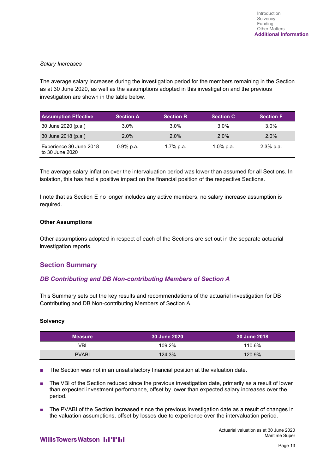#### *Salary Increases*

The average salary increases during the investigation period for the members remaining in the Section as at 30 June 2020, as well as the assumptions adopted in this investigation and the previous investigation are shown in the table below.

| <b>Assumption Effective</b>                | <b>Section A</b> | <b>Section B</b> | <b>Section C</b> | <b>Section F</b> |
|--------------------------------------------|------------------|------------------|------------------|------------------|
| 30 June 2020 (p.a.)                        | $3.0\%$          | $3.0\%$          | $3.0\%$          | $3.0\%$          |
| 30 June 2018 (p.a.)                        | $2.0\%$          | $2.0\%$          | $2.0\%$          | $2.0\%$          |
| Experience 30 June 2018<br>to 30 June 2020 | $0.9\%$ p.a.     | 1.7% p.a.        | 1.0% p.a.        | $2.3\%$ p.a.     |

The average salary inflation over the intervaluation period was lower than assumed for all Sections. In isolation, this has had a positive impact on the financial position of the respective Sections.

I note that as Section E no longer includes any active members, no salary increase assumption is required.

### **Other Assumptions**

Other assumptions adopted in respect of each of the Sections are set out in the separate actuarial investigation reports.

## **Section Summary**

## *DB Contributing and DB Non-contributing Members of Section A*

This Summary sets out the key results and recommendations of the actuarial investigation for DB Contributing and DB Non-contributing Members of Section A.

#### **Solvency**

| <b>Measure</b> | <b>30 June 2020</b> | l 30 June 2018 <sup>i</sup> |
|----------------|---------------------|-----------------------------|
| VBI            | 109.2%              | 110.6%                      |
| <b>PVABI</b>   | 124.3%              | 120.9%                      |

The Section was not in an unsatisfactory financial position at the valuation date.

The VBI of the Section reduced since the previous investigation date, primarily as a result of lower than expected investment performance, offset by lower than expected salary increases over the period.

The PVABI of the Section increased since the previous investigation date as a result of changes in the valuation assumptions, offset by losses due to experience over the intervaluation period.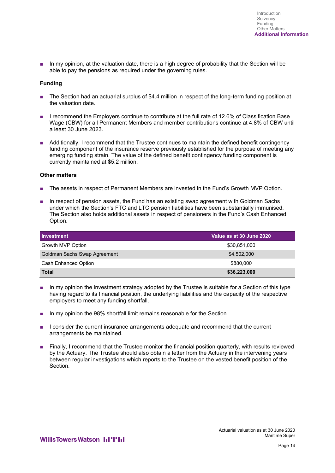■ In my opinion, at the valuation date, there is a high degree of probability that the Section will be able to pay the pensions as required under the governing rules.

#### **Funding**

- The Section had an actuarial surplus of \$4.4 million in respect of the long-term funding position at the valuation date.
- I recommend the Employers continue to contribute at the full rate of 12.6% of Classification Base Wage (CBW) for all Permanent Members and member contributions continue at 4.8% of CBW until a least 30 June 2023.
- Additionally, I recommend that the Trustee continues to maintain the defined benefit contingency funding component of the insurance reserve previously established for the purpose of meeting any emerging funding strain. The value of the defined benefit contingency funding component is currently maintained at \$5.2 million.

#### **Other matters**

- The assets in respect of Permanent Members are invested in the Fund's Growth MVP Option.
- In respect of pension assets, the Fund has an existing swap agreement with Goldman Sachs under which the Section's FTC and LTC pension liabilities have been substantially immunised. The Section also holds additional assets in respect of pensioners in the Fund's Cash Enhanced Option.

| Investment                   | Value as at 30 June 2020 |
|------------------------------|--------------------------|
| Growth MVP Option            | \$30,851,000             |
| Goldman Sachs Swap Agreement | \$4,502,000              |
| <b>Cash Enhanced Option</b>  | \$880,000                |
| Total                        | \$36,223,000             |

- In my opinion the investment strategy adopted by the Trustee is suitable for a Section of this type having regard to its financial position, the underlying liabilities and the capacity of the respective employers to meet any funding shortfall.
- In my opinion the 98% shortfall limit remains reasonable for the Section.
- I consider the current insurance arrangements adequate and recommend that the current arrangements be maintained.
- Finally, I recommend that the Trustee monitor the financial position quarterly, with results reviewed by the Actuary. The Trustee should also obtain a letter from the Actuary in the intervening years between regular investigations which reports to the Trustee on the vested benefit position of the Section.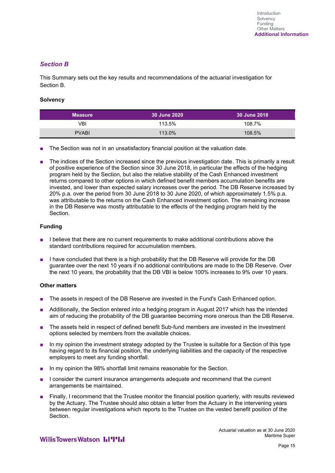## *Section B*

This Summary sets out the key results and recommendations of the actuarial investigation for Section B.

#### **Solvency**

| <b>Measure</b> | 30 June 2020 | 30 June 2018 |
|----------------|--------------|--------------|
| VBI            | 113.5%       | 108.7%       |
| <b>PVABI</b>   | 113.0%       | 108.5%       |

- The Section was not in an unsatisfactory financial position at the valuation date.
- The indices of the Section increased since the previous investigation date. This is primarily a result of positive experience of the Section since 30 June 2018, in particular the effects of the hedging program held by the Section, but also the relative stability of the Cash Enhanced investment returns compared to other options in which defined benefit members accumulation benefits are invested, and lower than expected salary increases over the period. The DB Reserve increased by 20% p.a. over the period from 30 June 2018 to 30 June 2020, of which approximately 1.5% p.a. was attributable to the returns on the Cash Enhanced investment option. The remaining increase in the DB Reserve was mostly attributable to the effects of the hedging program held by the **Section**

#### **Funding**

- I believe that there are no current requirements to make additional contributions above the standard contributions required for accumulation members.
- I have concluded that there is a high probability that the DB Reserve will provide for the DB guarantee over the next 10 years if no additional contributions are made to the DB Reserve. Over the next 10 years, the probability that the DB VBI is below 100% increases to 9% over 10 years.

#### **Other matters**

- The assets in respect of the DB Reserve are invested in the Fund's Cash Enhanced option.
- Additionally, the Section entered into a hedging program in August 2017 which has the intended aim of reducing the probability of the DB guarantee becoming more onerous than the DB Reserve.
- The assets held in respect of defined benefit Sub-fund members are invested in the investment options selected by members from the available choices.
- In my opinion the investment strategy adopted by the Trustee is suitable for a Section of this type having regard to its financial position, the underlying liabilities and the capacity of the respective employers to meet any funding shortfall.
- In my opinion the 98% shortfall limit remains reasonable for the Section.
- I consider the current insurance arrangements adequate and recommend that the current arrangements be maintained.
- Finally, I recommend that the Trustee monitor the financial position quarterly, with results reviewed by the Actuary. The Trustee should also obtain a letter from the Actuary in the intervening years between regular investigations which reports to the Trustee on the vested benefit position of the Section.

Actuarial valuation as at 30 June 2020 Maritime Super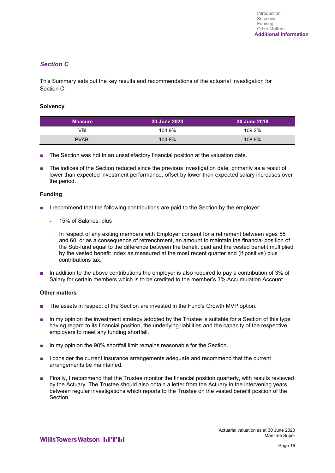## *Section C*

This Summary sets out the key results and recommendations of the actuarial investigation for Section C.

#### **Solvency**

| <b>Measure</b> | <b>30 June 2020</b> | 30 June 2018 |
|----------------|---------------------|--------------|
| VBI            | 104.9%              | 109.2%       |
| <b>PVABI</b>   | 104.8%              | 108.9%       |

- The Section was not in an unsatisfactory financial position at the valuation date.
- The indices of the Section reduced since the previous investigation date, primarily as a result of lower than expected investment performance, offset by lower than expected salary increases over the period.

### **Funding**

- I recommend that the following contributions are paid to the Section by the employer:
	- 15% of Salaries; plus
	- In respect of any exiting members with Employer consent for a retirement between ages 55 and 60, or as a consequence of retrenchment, an amount to maintain the financial position of the Sub-fund equal to the difference between the benefit paid and the vested benefit multiplied by the vested benefit index as measured at the most recent quarter end (if positive) plus contributions tax.
- In addition to the above contributions the employer is also required to pay a contribution of 3% of Salary for certain members which is to be credited to the member's 3% Accumulation Account.

#### **Other matters**

- The assets in respect of the Section are invested in the Fund's Growth MVP option.
- In my opinion the investment strategy adopted by the Trustee is suitable for a Section of this type having regard to its financial position, the underlying liabilities and the capacity of the respective employers to meet any funding shortfall.
- In my opinion the 98% shortfall limit remains reasonable for the Section.
- I consider the current insurance arrangements adequate and recommend that the current arrangements be maintained.
- Finally, I recommend that the Trustee monitor the financial position quarterly, with results reviewed by the Actuary. The Trustee should also obtain a letter from the Actuary in the intervening years between regular investigations which reports to the Trustee on the vested benefit position of the **Section**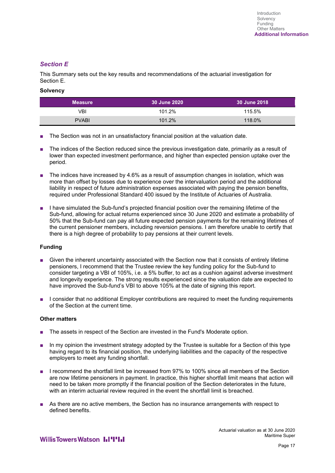## *Section E*

This Summary sets out the key results and recommendations of the actuarial investigation for Section E.

### **Solvency**

| <b>Measure</b> | 30 June 2020 | 30 June 2018 |
|----------------|--------------|--------------|
| VBI            | 101.2%       | 115.5%       |
| <b>PVABI</b>   | 101.2%       | 118.0%       |

- The Section was not in an unsatisfactory financial position at the valuation date.
- The indices of the Section reduced since the previous investigation date, primarily as a result of lower than expected investment performance, and higher than expected pension uptake over the period.
- The indices have increased by 4.6% as a result of assumption changes in isolation, which was more than offset by losses due to experience over the intervaluation period and the additional liability in respect of future administration expenses associated with paying the pension benefits, required under Professional Standard 400 issued by the Institute of Actuaries of Australia.
- I have simulated the Sub-fund's projected financial position over the remaining lifetime of the Sub-fund, allowing for actual returns experienced since 30 June 2020 and estimate a probability of 50% that the Sub-fund can pay all future expected pension payments for the remaining lifetimes of the current pensioner members, including reversion pensions. I am therefore unable to certify that there is a high degree of probability to pay pensions at their current levels.

### **Funding**

- Given the inherent uncertainty associated with the Section now that it consists of entirely lifetime pensioners, I recommend that the Trustee review the key funding policy for the Sub-fund to consider targeting a VBI of 105%, i.e. a 5% buffer, to act as a cushion against adverse investment and longevity experience. The strong results experienced since the valuation date are expected to have improved the Sub-fund's VBI to above 105% at the date of signing this report.
- I consider that no additional Employer contributions are required to meet the funding requirements of the Section at the current time.

### **Other matters**

- The assets in respect of the Section are invested in the Fund's Moderate option.
- In my opinion the investment strategy adopted by the Trustee is suitable for a Section of this type having regard to its financial position, the underlying liabilities and the capacity of the respective employers to meet any funding shortfall.
- I recommend the shortfall limit be increased from 97% to 100% since all members of the Section are now lifetime pensioners in payment. In practice, this higher shortfall limit means that action will need to be taken more promptly if the financial position of the Section deteriorates in the future, with an interim actuarial review required in the event the shortfall limit is breached.
- As there are no active members, the Section has no insurance arrangements with respect to defined benefits.